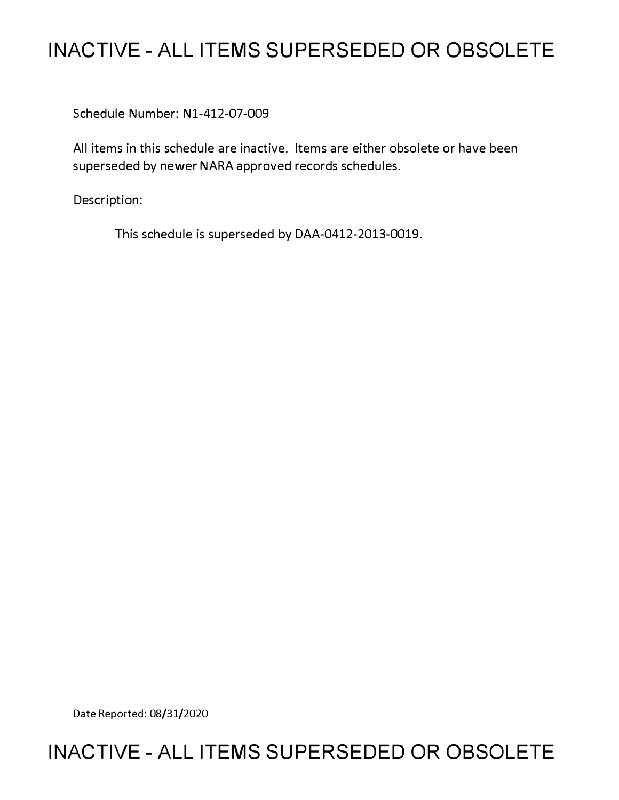# **INACTIVE - ALL ITEMS SUPERSEDED OR OBSOLETE**

Schedule Number: Nl-412-07-009

All items in this schedule are inactive. Items are either obsolete or have been superseded by newer NARA approved records schedules.

Description:

This schedule is superseded by DAA-0412-2013-0019.

Date Reported: 08/31/2020

# **INACTIVE - ALL ITEMS SUPERSEDED OR OBSOLETE**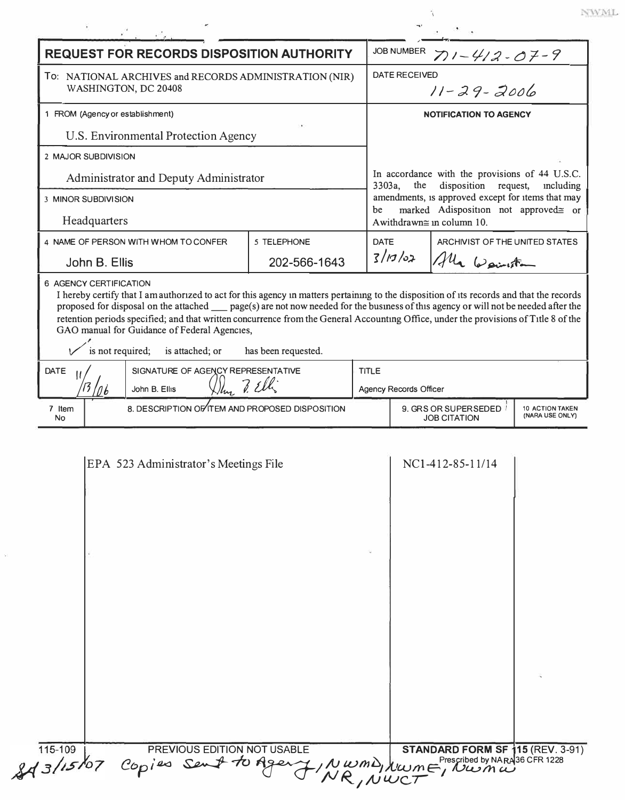| <b>REQUEST FOR RECORDS DISPOSITION AUTHORITY</b>                                                                                                                                                                                                                                                                                                                                                                                                                                                                                       |                                                 |              |              | <b>JOB NUMBER</b><br>$71 - 412 - 07 - 9$                                                                                                                                                                                                       |                                  |  |  |
|----------------------------------------------------------------------------------------------------------------------------------------------------------------------------------------------------------------------------------------------------------------------------------------------------------------------------------------------------------------------------------------------------------------------------------------------------------------------------------------------------------------------------------------|-------------------------------------------------|--------------|--------------|------------------------------------------------------------------------------------------------------------------------------------------------------------------------------------------------------------------------------------------------|----------------------------------|--|--|
| To: NATIONAL ARCHIVES and RECORDS ADMINISTRATION (NIR)<br>WASHINGTON, DC 20408                                                                                                                                                                                                                                                                                                                                                                                                                                                         |                                                 |              |              | <b>DATE RECEIVED</b><br>$11 - 29 - 2006$                                                                                                                                                                                                       |                                  |  |  |
| 1 FROM (Agency or establishment)                                                                                                                                                                                                                                                                                                                                                                                                                                                                                                       |                                                 |              |              | <b>NOTIFICATION TO AGENCY</b>                                                                                                                                                                                                                  |                                  |  |  |
| U.S. Environmental Protection Agency                                                                                                                                                                                                                                                                                                                                                                                                                                                                                                   |                                                 |              |              |                                                                                                                                                                                                                                                |                                  |  |  |
| 2 MAJOR SUBDIVISION                                                                                                                                                                                                                                                                                                                                                                                                                                                                                                                    |                                                 |              |              |                                                                                                                                                                                                                                                |                                  |  |  |
| Administrator and Deputy Administrator                                                                                                                                                                                                                                                                                                                                                                                                                                                                                                 |                                                 |              |              | In accordance with the provisions of 44 U.S.C.<br>disposition<br>3303a,<br>request,<br>the<br>including<br>amendments, is approved except for items that may<br>marked Adisposition not approved= or<br>be<br>Awithdrawn $\cong$ in column 10. |                                  |  |  |
| <b>3 MINOR SUBDIVISION</b>                                                                                                                                                                                                                                                                                                                                                                                                                                                                                                             |                                                 |              |              |                                                                                                                                                                                                                                                |                                  |  |  |
| Headquarters                                                                                                                                                                                                                                                                                                                                                                                                                                                                                                                           |                                                 |              |              |                                                                                                                                                                                                                                                |                                  |  |  |
|                                                                                                                                                                                                                                                                                                                                                                                                                                                                                                                                        | 4 NAME OF PERSON WITH WHOM TO CONFER            | 5 TELEPHONE  |              | <b>DATE</b>                                                                                                                                                                                                                                    | ARCHIVIST OF THE UNITED STATES   |  |  |
| John B. Ellis                                                                                                                                                                                                                                                                                                                                                                                                                                                                                                                          |                                                 | 202-566-1643 |              |                                                                                                                                                                                                                                                | $3/10/02$ $\frac{1}{10}$ wounter |  |  |
| I hereby certify that I am authorized to act for this agency in matters pertaining to the disposition of its records and that the records<br>proposed for disposal on the attached __ page(s) are not now needed for the business of this agency or will not be needed after the<br>retention periods specified; and that written concurrence from the General Accounting Office, under the provisions of Title 8 of the<br>GAO manual for Guidance of Federal Agencies,<br>is not required;<br>is attached; or<br>has been requested. |                                                 |              |              |                                                                                                                                                                                                                                                |                                  |  |  |
| SIGNATURE OF AGENCY REPRESENTATIVE<br><b>DATE</b>                                                                                                                                                                                                                                                                                                                                                                                                                                                                                      |                                                 |              | <b>TITLE</b> |                                                                                                                                                                                                                                                |                                  |  |  |
|                                                                                                                                                                                                                                                                                                                                                                                                                                                                                                                                        | $D_{\text{free}}$ ? Ell<br>John B. Ellis        |              |              | Agency Records Officer                                                                                                                                                                                                                         |                                  |  |  |
| 7 Item<br><b>No</b>                                                                                                                                                                                                                                                                                                                                                                                                                                                                                                                    | 8. DESCRIPTION OF ITEM AND PROPOSED DISPOSITION |              |              | 9. GRS OR SUPERSEDED<br><b>10 ACTION TAKEN</b><br>(NARA USE ONLY)<br><b>JOB CITATION</b>                                                                                                                                                       |                                  |  |  |
|                                                                                                                                                                                                                                                                                                                                                                                                                                                                                                                                        | EPA 523 Administrator's Meetings File           |              |              |                                                                                                                                                                                                                                                | NC1-412-85-11/14                 |  |  |

 $\ensuremath{\text{NWML}}$ 

115-109 PREVIOUS EDITION NOT USABLE STANDARD FORM SF 15 (REV. 3-91)<br>8 3/15/07 Copies Sent to Agent, NWMD, NWMF, NWMW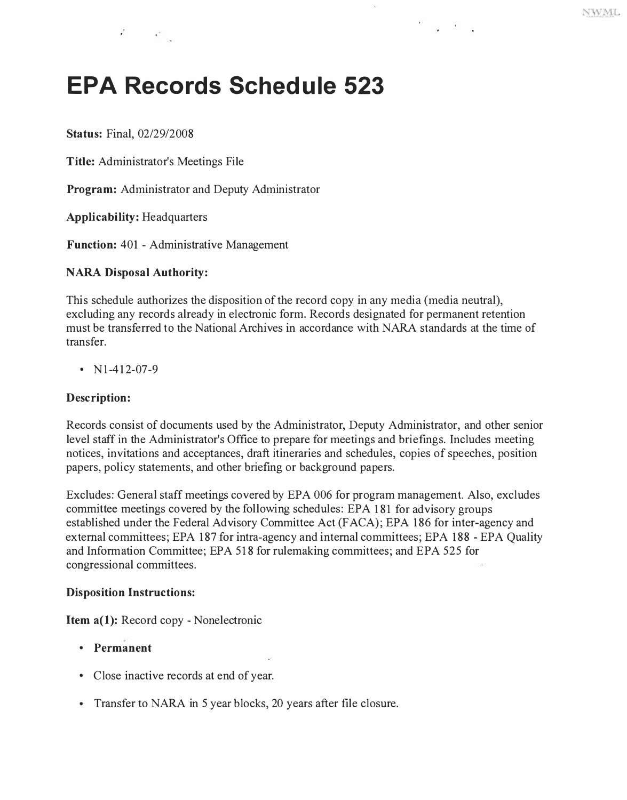# **EPA Records Schedule 523**

**Status:** Final, 02/29/2008

**Title:** Administrator's Meetings File

**Program:** Administrator and Deputy Administrator

**Applicability:** Headquarters

**Function:** 401 - Administrative Management

## **NARA Disposal Authority:**

This schedule authorizes the disposition of the record copy in any media (media neutral), excluding any records already in electronic form. Records designated for permanent retention must be transferred to the National Archives in accordance with NARA standards at the time of transfer.

 $\langle \hat{f}_1 \rangle$ 

•  $N1-412-07-9$ 

#### **Description:**

Records consist of documents used by the Administrator, Deputy Administrator, and other senior level staff in the Administrator's Office to prepare for meetings and briefings. Includes meeting notices, invitations and acceptances, draft itineraries and schedules, copies of speeches, position papers, policy statements, and other briefing or background papers.

Excludes: General staff meetings covered by EPA 006 for program management. Also, excludes committee meetings covered by the following schedules: EPA 181 for advisory groups established under the Federal Advisory Committee Act (F ACA); EPA 186 for inter-agency and external committees; EPA 187 for intra-agency and internal committees; EPA 188 - EPA Quality and Information Committee; EPA 518 for rulemaking committees; and EPA 525 for congressional committees.

#### **Disposition Instructions:**

**Item a(l):** Record copy - Nonelectronic

- **Permanent**
- Close inactive records at end of year.
- Transfer to NARA in 5 year blocks, 20 years after file closure.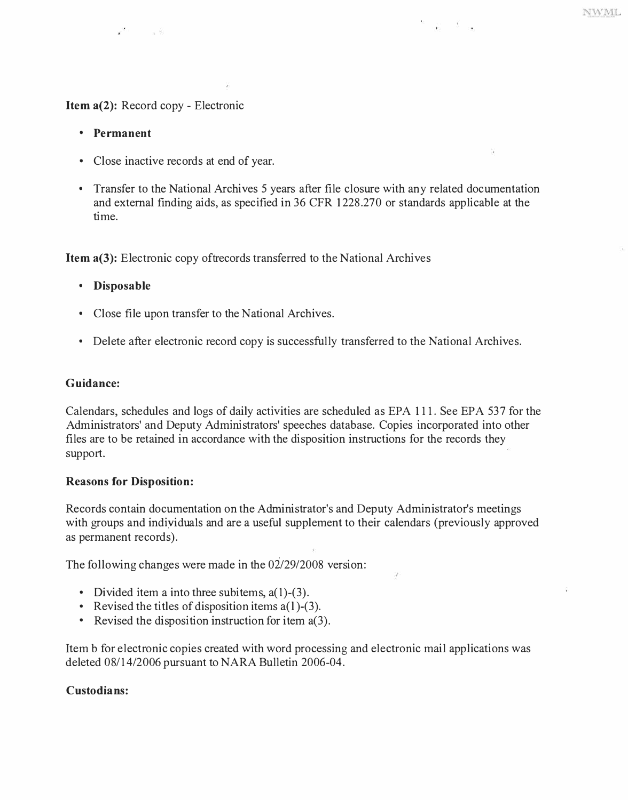**Item a(2):** Record copy - Electronic

 $\sim$   $\sim$ 

- **Permanent**
- Close inactive records at end of year.
- Transfer to the National Archives 5 years after file closure with any related documentation and external finding aids, as specified in 36 CFR 1228.270 or standards applicable at the time.

**NWML** 

**Item a(3):** Electronic copy of trecords transferred to the National Archives

- **Disposable**
- Close file upon transfer to the National Archives.
- Delete after electronic record copy is successfully transferred to the National Archives.

#### **Guidance:**

Calendars, schedules and logs of daily activities are scheduled as EPA 111. See EPA 537 for the Administrators' and Deputy Administrators' speeches database. Copies incorporated into other files are to be retained in accordance with the disposition instructions for the records they support.

## **Reasons for Disposition:**

Records contain documentation on the Administrator's and Deputy Administrator's meetings with groups and indiyiduals and are a useful supplement to their calendars (previously approved as permanent records).

The following changes were made in the 02/29/2008 version:

- Divided item a into three subitems,  $a(1)$ - $(3)$ .
- Revised the titles of disposition items  $a(1)$ -(3).
- Revised the disposition instruction for item a(3).

Item b for electronic copies created with word processing and electronic mail applications was deleted 08/14/2006 pursuant to NARA Bulletin 2006-04.

## **Custodians:**